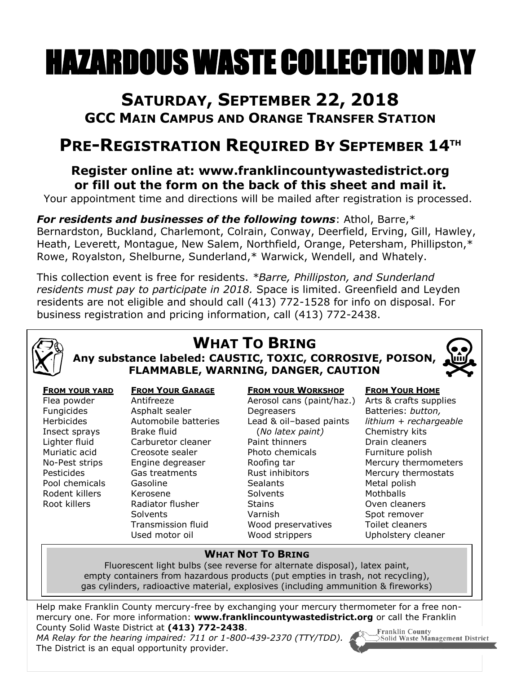# HAZARDOUS WASTE COLLECTION DAY

### **SATURDAY, SEPTEMBER 22, 2018 GCC MAIN CAMPUS AND ORANGE TRANSFER STATION**

## **PRE-REGISTRATION REQUIRED BY SEPTEMBER 14 TH**

#### **Register online at: www.franklincountywastedistrict.org or fill out the form on the back of this sheet and mail it.**

Your appointment time and directions will be mailed after registration is processed.

*For residents and businesses of the following towns*: Athol, Barre,\* Bernardston, Buckland, Charlemont, Colrain, Conway, Deerfield, Erving, Gill, Hawley, Heath, Leverett, Montague, New Salem, Northfield, Orange, Petersham, Phillipston,\* Rowe, Royalston, Shelburne, Sunderland,\* Warwick, Wendell, and Whately.

This collection event is free for residents. *\*Barre, Phillipston, and Sunderland residents must pay to participate in 2018.* Space is limited. Greenfield and Leyden residents are not eligible and should call (413) 772-1528 for info on disposal. For business registration and pricing information, call (413) 772-2438.



# **WHAT TO BRING**

**Any substance labeled: CAUSTIC, TOXIC, CORROSIVE, POISON, FLAMMABLE, WARNING, DANGER, CAUTION**

| யி<br>ι |  |
|---------|--|
|         |  |

#### **FROM YOUR YARD** Flea powder Fungicides Herbicides Insect sprays Lighter fluid Muriatic acid No-Pest strips Pesticides Pool chemicals Rodent killers Root killers

#### **FROM YOUR GARAGE**

Antifreeze Asphalt sealer Automobile batteries Brake fluid Carburetor cleaner Creosote sealer Engine degreaser Gas treatments Gasoline Kerosene Radiator flusher **Solvents** Transmission fluid Used motor oil

#### **FROM YOUR WORKSHOP**

Aerosol cans (paint/haz.) **Degreasers** Lead & oil–based paints (*No latex paint)* Paint thinners Photo chemicals Roofing tar Rust inhibitors **Sealants Solvents Stains** Varnish Wood preservatives Wood strippers

#### **FROM YOUR HOME**

Arts & crafts supplies Batteries: *button, lithium + rechargeable* Chemistry kits Drain cleaners Furniture polish Mercury thermometers Mercury thermostats Metal polish **Mothballs** Oven cleaners Spot remover Toilet cleaners Upholstery cleaner

#### **WHAT NOT TO BRING**

Fluorescent light bulbs (see reverse for alternate disposal), latex paint, empty containers from hazardous products (put empties in trash, not recycling), gas cylinders, radioactive material, explosives (including ammunition & fireworks)

Help make Franklin County mercury-free by exchanging your mercury thermometer for a free nonmercury one. For more information: **www.franklincountywastedistrict.org** or call the Franklin County Solid Waste District at **(413) 772-2438**. **Franklin County** 

*MA Relay for the hearing impaired: 711 or 1-800-439-2370 (TTY/TDD).* The District is an equal opportunity provider.



Solid Waste Management District